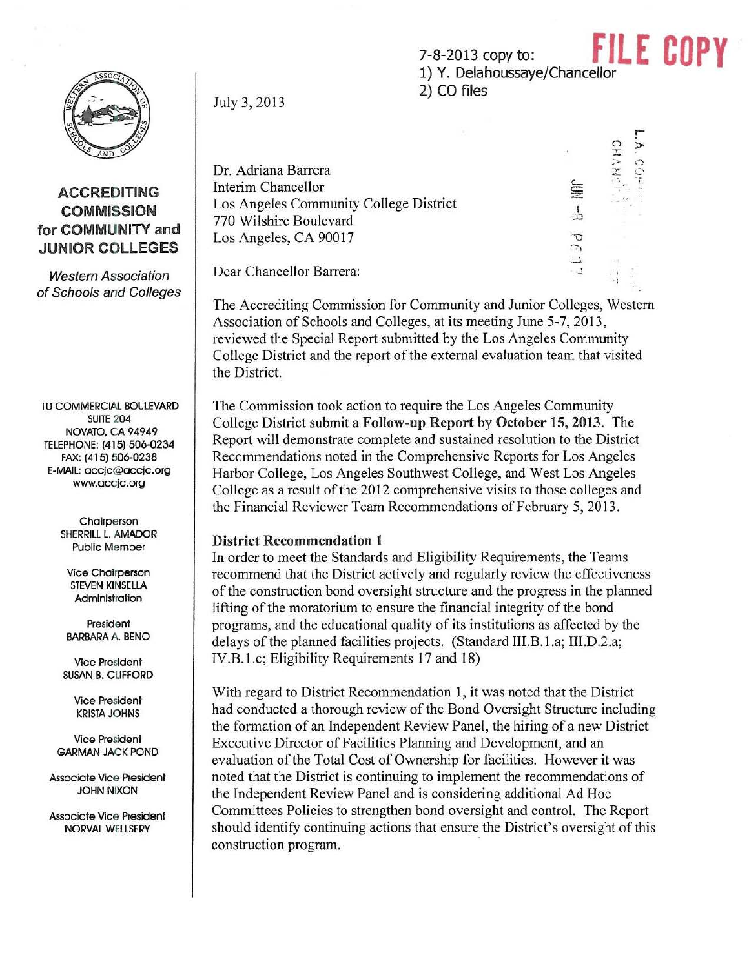7-8-2013 copy to:<br>1) Y. Delahoussaye/Chancellor 2) CO files

~

A<br>C<br>C<br>C<br>C  $\geq$   $\circ$  $z \circ$ -,:

È  $\frac{1}{2}$ 

 $561$ 

## ACCREDITING **COMMISSION** for COMMUNITY and JUNIOR COLLEGES

Western Association of Schools and Colleges

10 COMMERCIAl BOULEVARD SUITE 204 NOVATO, CA 94949 TELEPHONE: (415) 506·0234 FAX: (415) 506-0238 E-MAIL: occjc@occjC.org www.accjc.org

> **Chairperson** SHERRill L. AMADOR Public Member

Vice Chairperson STEVEN KINSEllA Administration

President BARBARA A. BEND

Vice President SUSAN B. CUFFORD

> Vice President KRISTA JOHNS

Vice President GARMAN JACK POND

Associate VIce President JOHN NIXON

Associate Vice President NORVAL WELLSFRY

July 3, 2013

Dr. Adriana Barrera Interim Chancellor Los Angeles Community College District 770 Wilshire Boulevard Los Angeles, CA 90017

Dear Chancellor Barrera:

The Accrediting Commission for Community and Junior Colleges, Western Association of Schools and Colleges, at its meeting June 5-7, 2013, reviewed the Special Report submitted by the Los Angeles Community College District and the report of the external evaluation team that visited the District.

The Commission took action to require the Los Angeles Community College District submit a Follow-up Report by October 15, 2013. The Report will demonstrate complete and sustained resolution to the District Recommendations noted in the Comprehensive Reports for Los Angeles Harbor College, Los Angeles Southwest College, and West Los Angeles College as a result of the 2012 comprehensive visits to those colleges and the Financial Reviewer Team Recommendations of February 5, 2013.

## District Recommendation 1

In order to meet the Standards and Eligibility Requirements, the Teams recommend that the District actively and regularly review the effectiveness of the construction bond oversight structure and the progress in the planned lifting of the moratorium to ensure the financial integrity of the bond programs, and the educational quality of its institutions as affected by the delays of the planned facilities projects. (Standard III.B.1.a; III.D.2.a; lV.B.l.e; Eligibility Requirements 17 and 18)

With regard to District Recommendation I, it was noted that the District had conducted a thorough review of the Bond Oversight Structure including the fonnation of an Independent Review Panel, the hiring of a new District Executive Director of Facilities Planning and Development, and an evaluation of the Total Cost of Ownership for facilities. However it was noted that the District is continuing to implement the recommendations of the Independent Review Panel and is considering additional Ad Hoc Committees Policies to strengthen bond oversight and control. The Report should identify continuing actions that ensure the District's oversight of this construction program.